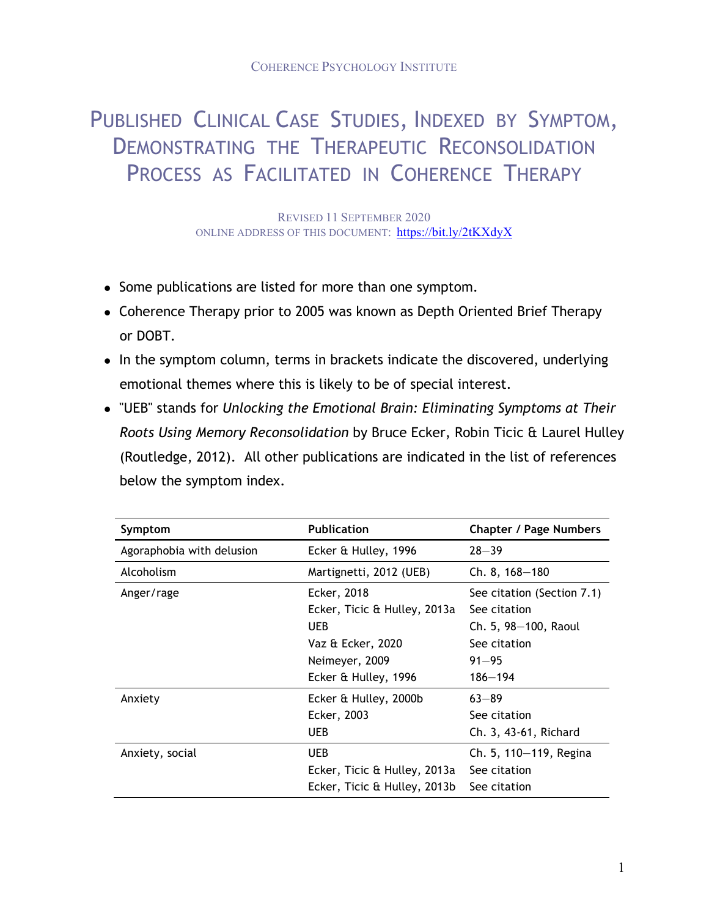## PUBLISHED CLINICAL CASE STUDIES, INDEXED BY SYMPTOM, DEMONSTRATING THE THERAPEUTIC RECONSOLIDATION PROCESS AS FACILITATED IN COHERENCE THERAPY

REVISED 11 SEPTEMBER 2020 ONLINE ADDRESS OF THIS DOCUMENT: https://bit.ly/2tKXdyX

- Some publications are listed for more than one symptom.
- Coherence Therapy prior to 2005 was known as Depth Oriented Brief Therapy or DOBT.
- In the symptom column, terms in brackets indicate the discovered, underlying emotional themes where this is likely to be of special interest.
- ! "UEB" stands for *Unlocking the Emotional Brain: Eliminating Symptoms at Their Roots Using Memory Reconsolidation* by Bruce Ecker, Robin Ticic & Laurel Hulley (Routledge, 2012). All other publications are indicated in the list of references below the symptom index.

| Symptom                   | <b>Publication</b>                                                                                                       | <b>Chapter / Page Numbers</b>                                                                                  |
|---------------------------|--------------------------------------------------------------------------------------------------------------------------|----------------------------------------------------------------------------------------------------------------|
| Agoraphobia with delusion | Ecker & Hulley, 1996                                                                                                     | $28 - 39$                                                                                                      |
| Alcoholism                | Martignetti, 2012 (UEB)                                                                                                  | $Ch. 8, 168 - 180$                                                                                             |
| Anger/rage                | Ecker, 2018<br>Ecker, Ticic & Hulley, 2013a<br><b>UEB</b><br>Vaz & Ecker, 2020<br>Neimeyer, 2009<br>Ecker & Hulley, 1996 | See citation (Section 7.1)<br>See citation<br>Ch. 5, 98-100, Raoul<br>See citation<br>$91 - 95$<br>$186 - 194$ |
| Anxiety                   | Ecker & Hulley, 2000b<br>Ecker, 2003<br>UEB                                                                              | $63 - 89$<br>See citation<br>Ch. 3, 43-61, Richard                                                             |
| Anxiety, social           | <b>UEB</b><br>Ecker, Ticic & Hulley, 2013a<br>Ecker, Ticic & Hulley, 2013b                                               | Ch. 5, 110-119, Regina<br>See citation<br>See citation                                                         |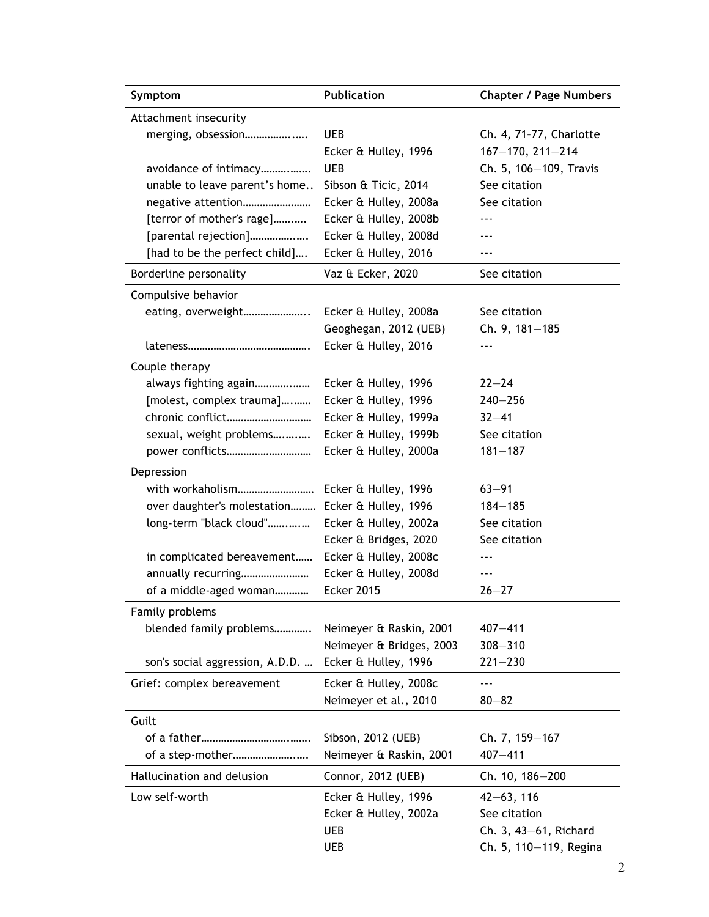| Symptom                                          | <b>Publication</b>       | <b>Chapter / Page Numbers</b> |
|--------------------------------------------------|--------------------------|-------------------------------|
| Attachment insecurity                            |                          |                               |
| merging, obsession                               | UEB                      | Ch. 4, 71-77, Charlotte       |
|                                                  | Ecker & Hulley, 1996     | $167 - 170, 211 - 214$        |
| avoidance of intimacy                            | <b>UEB</b>               | Ch. 5, 106-109, Travis        |
| unable to leave parent's home                    | Sibson & Ticic, 2014     | See citation                  |
| negative attention                               | Ecker & Hulley, 2008a    | See citation                  |
| [terror of mother's rage]                        | Ecker & Hulley, 2008b    |                               |
| [parental rejection]                             | Ecker & Hulley, 2008d    |                               |
| [had to be the perfect child]                    | Ecker & Hulley, 2016     | $- - -$                       |
| Borderline personality                           | Vaz & Ecker, 2020        | See citation                  |
| Compulsive behavior                              |                          |                               |
| eating, overweight                               | Ecker & Hulley, 2008a    | See citation                  |
|                                                  | Geoghegan, 2012 (UEB)    | Ch. 9, 181-185                |
|                                                  | Ecker & Hulley, 2016     | $- - -$                       |
| Couple therapy                                   |                          |                               |
| always fighting again                            | Ecker & Hulley, 1996     | $22 - 24$                     |
| [molest, complex trauma]                         | Ecker & Hulley, 1996     | $240 - 256$                   |
| chronic conflict                                 | Ecker & Hulley, 1999a    | $32 - 41$                     |
| sexual, weight problems                          | Ecker & Hulley, 1999b    | See citation                  |
| power conflicts                                  | Ecker & Hulley, 2000a    | $181 - 187$                   |
| Depression                                       |                          |                               |
| with workaholism                                 | Ecker & Hulley, 1996     | $63 - 91$                     |
| over daughter's molestation Ecker & Hulley, 1996 |                          | $184 - 185$                   |
| long-term "black cloud"                          | Ecker & Hulley, 2002a    | See citation                  |
|                                                  | Ecker & Bridges, 2020    | See citation                  |
| in complicated bereavement                       | Ecker & Hulley, 2008c    | ---                           |
| annually recurring                               | Ecker & Hulley, 2008d    | ---                           |
| of a middle-aged woman                           | <b>Ecker 2015</b>        | $26 - 27$                     |
| Family problems                                  |                          |                               |
| blended family problems                          | Neimeyer & Raskin, 2001  | $407 - 411$                   |
|                                                  | Neimeyer & Bridges, 2003 | $308 - 310$                   |
| son's social aggression, A.D.D.                  | Ecker & Hulley, 1996     | $221 - 230$                   |
| Grief: complex bereavement                       | Ecker & Hulley, 2008c    | $--$                          |
|                                                  | Neimeyer et al., 2010    | $80 - 82$                     |
| Guilt                                            |                          |                               |
|                                                  | Sibson, 2012 (UEB)       | Ch. 7, 159-167                |
| of a step-mother                                 | Neimeyer & Raskin, 2001  | $407 - 411$                   |
| Hallucination and delusion                       | Connor, 2012 (UEB)       | Ch. 10, 186-200               |
| Low self-worth                                   | Ecker & Hulley, 1996     | $42 - 63, 116$                |
|                                                  | Ecker & Hulley, 2002a    | See citation                  |
|                                                  | <b>UEB</b>               | Ch. 3, 43-61, Richard         |
|                                                  | UEB                      | Ch. 5, 110-119, Regina        |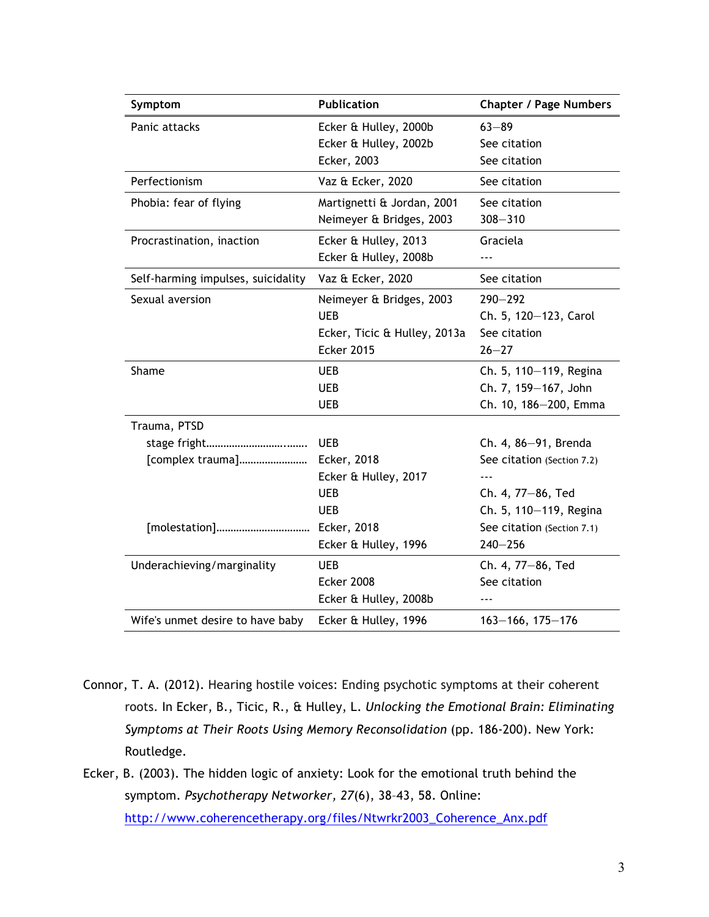| Symptom                            | <b>Publication</b>           | <b>Chapter / Page Numbers</b> |
|------------------------------------|------------------------------|-------------------------------|
| Panic attacks                      | Ecker & Hulley, 2000b        | $63 - 89$                     |
|                                    | Ecker & Hulley, 2002b        | See citation                  |
|                                    | Ecker, 2003                  | See citation                  |
| Perfectionism                      | Vaz & Ecker, 2020            | See citation                  |
| Phobia: fear of flying             | Martignetti & Jordan, 2001   | See citation                  |
|                                    | Neimeyer & Bridges, 2003     | $308 - 310$                   |
| Procrastination, inaction          | Ecker & Hulley, 2013         | Graciela                      |
|                                    | Ecker & Hulley, 2008b        |                               |
| Self-harming impulses, suicidality | Vaz & Ecker, 2020            | See citation                  |
| Sexual aversion                    | Neimeyer & Bridges, 2003     | $290 - 292$                   |
|                                    | <b>UEB</b>                   | Ch. 5, 120-123, Carol         |
|                                    | Ecker, Ticic & Hulley, 2013a | See citation                  |
|                                    | <b>Ecker 2015</b>            | $26 - 27$                     |
| Shame                              | UEB                          | Ch. 5, 110-119, Regina        |
|                                    | <b>UEB</b>                   | Ch. 7, 159-167, John          |
|                                    | <b>UEB</b>                   | Ch. 10, 186-200, Emma         |
| Trauma, PTSD                       |                              |                               |
|                                    | <b>UEB</b>                   | Ch. 4, 86-91, Brenda          |
| [complex trauma]                   | Ecker, 2018                  | See citation (Section 7.2)    |
|                                    | Ecker & Hulley, 2017         |                               |
|                                    | <b>UEB</b>                   | Ch. 4, 77-86, Ted             |
|                                    | <b>UEB</b>                   | Ch. 5, 110-119, Regina        |
| [molestation]                      | Ecker, 2018                  | See citation (Section 7.1)    |
|                                    | Ecker & Hulley, 1996         | $240 - 256$                   |
| Underachieving/marginality         | <b>UEB</b>                   | Ch. 4, 77-86, Ted             |
|                                    | <b>Ecker 2008</b>            | See citation                  |
|                                    | Ecker & Hulley, 2008b        |                               |
| Wife's unmet desire to have baby   | Ecker & Hulley, 1996         | $163 - 166$ , $175 - 176$     |

- Connor, T. A. (2012). Hearing hostile voices: Ending psychotic symptoms at their coherent roots. In Ecker, B., Ticic, R., & Hulley, L. *Unlocking the Emotional Brain: Eliminating Symptoms at Their Roots Using Memory Reconsolidation* (pp. 186-200). New York: Routledge.
- Ecker, B. (2003). The hidden logic of anxiety: Look for the emotional truth behind the symptom. *Psychotherapy Networker, 27*(6), 38–43, 58. Online: http://www.coherencetherapy.org/files/Ntwrkr2003\_Coherence\_Anx.pdf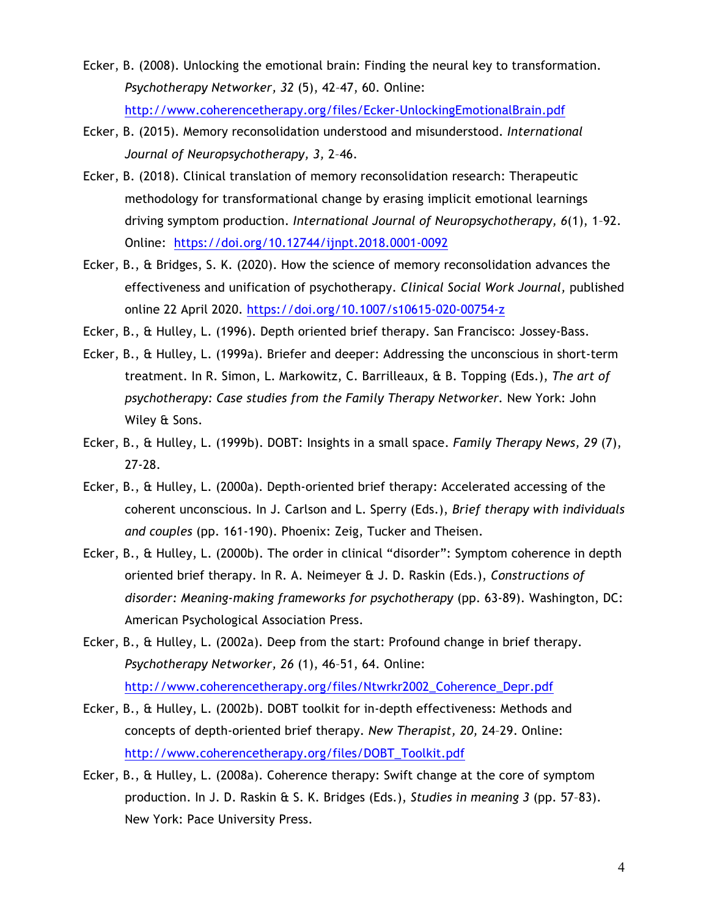- Ecker, B. (2008). Unlocking the emotional brain: Finding the neural key to transformation. *Psychotherapy Networker, 32* (5), 42–47, 60. Online: http://www.coherencetherapy.org/files/Ecker-UnlockingEmotionalBrain.pdf
- Ecker, B. (2015). Memory reconsolidation understood and misunderstood. *International Journal of Neuropsychotherapy, 3,* 2–46.
- Ecker, B. (2018). Clinical translation of memory reconsolidation research: Therapeutic methodology for transformational change by erasing implicit emotional learnings driving symptom production. *International Journal of Neuropsychotherapy, 6*(1), 1–92. Online: https://doi.org/10.12744/ijnpt.2018.0001-0092
- Ecker, B., & Bridges, S. K. (2020). How the science of memory reconsolidation advances the effectiveness and unification of psychotherapy. *Clinical Social Work Journal,* published online 22 April 2020. https://doi.org/10.1007/s10615-020-00754-z
- Ecker, B., & Hulley, L. (1996). Depth oriented brief therapy. San Francisco: Jossey-Bass.
- Ecker, B., & Hulley, L. (1999a). Briefer and deeper: Addressing the unconscious in short-term treatment. In R. Simon, L. Markowitz, C. Barrilleaux, & B. Topping (Eds.), *The art of psychotherapy: Case studies from the Family Therapy Networker.* New York: John Wiley & Sons.
- Ecker, B., & Hulley, L. (1999b). DOBT: Insights in a small space. *Family Therapy News, 29* (7), 27-28.
- Ecker, B., & Hulley, L. (2000a). Depth-oriented brief therapy: Accelerated accessing of the coherent unconscious. In J. Carlson and L. Sperry (Eds.), *Brief therapy with individuals and couples* (pp. 161-190). Phoenix: Zeig, Tucker and Theisen.
- Ecker, B., & Hulley, L. (2000b). The order in clinical "disorder": Symptom coherence in depth oriented brief therapy. In R. A. Neimeyer & J. D. Raskin (Eds.), *Constructions of disorder: Meaning-making frameworks for psychotherapy* (pp. 63-89). Washington, DC: American Psychological Association Press.
- Ecker, B., & Hulley, L. (2002a). Deep from the start: Profound change in brief therapy. *Psychotherapy Networker, 26* (1), 46–51, 64. Online: http://www.coherencetherapy.org/files/Ntwrkr2002\_Coherence\_Depr.pdf
- Ecker, B., & Hulley, L. (2002b). DOBT toolkit for in-depth effectiveness: Methods and concepts of depth-oriented brief therapy. *New Therapist, 20,* 24–29. Online: http://www.coherencetherapy.org/files/DOBT\_Toolkit.pdf
- Ecker, B., & Hulley, L. (2008a). Coherence therapy: Swift change at the core of symptom production. In J. D. Raskin & S. K. Bridges (Eds.), *Studies in meaning 3* (pp. 57–83). New York: Pace University Press.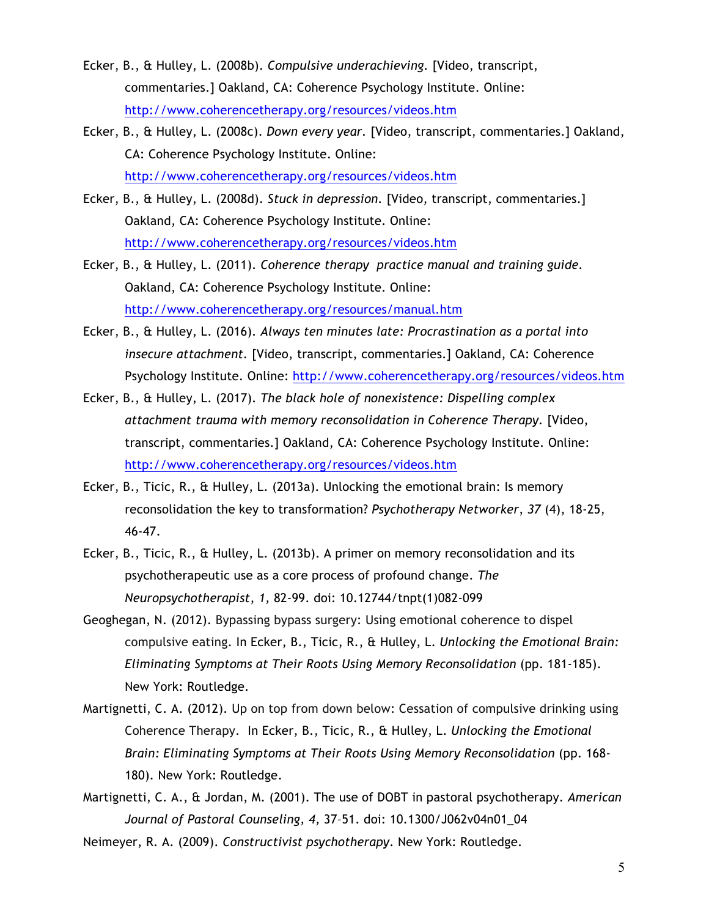- Ecker, B., & Hulley, L. (2008b). *Compulsive underachieving.* [Video, transcript, commentaries.] Oakland, CA: Coherence Psychology Institute. Online: http://www.coherencetherapy.org/resources/videos.htm
- Ecker, B., & Hulley, L. (2008c). *Down every year.* [Video, transcript, commentaries.] Oakland, CA: Coherence Psychology Institute. Online: http://www.coherencetherapy.org/resources/videos.htm
- Ecker, B., & Hulley, L. (2008d). *Stuck in depression.* [Video, transcript, commentaries.] Oakland, CA: Coherence Psychology Institute. Online: http://www.coherencetherapy.org/resources/videos.htm
- Ecker, B., & Hulley, L. (2011). *Coherence therapy practice manual and training guide.*  Oakland, CA: Coherence Psychology Institute. Online: http://www.coherencetherapy.org/resources/manual.htm
- Ecker, B., & Hulley, L. (2016). *Always ten minutes late: Procrastination as a portal into insecure attachment.* [Video, transcript, commentaries.] Oakland, CA: Coherence Psychology Institute. Online: http://www.coherencetherapy.org/resources/videos.htm
- Ecker, B., & Hulley, L. (2017). *The black hole of nonexistence: Dispelling complex attachment trauma with memory reconsolidation in Coherence Therapy.* [Video, transcript, commentaries.] Oakland, CA: Coherence Psychology Institute. Online: http://www.coherencetherapy.org/resources/videos.htm
- Ecker, B., Ticic, R., & Hulley, L. (2013a). Unlocking the emotional brain: Is memory reconsolidation the key to transformation? *Psychotherapy Networker*, *37* (4), 18-25, 46-47.
- Ecker, B., Ticic, R., & Hulley, L. (2013b). A primer on memory reconsolidation and its psychotherapeutic use as a core process of profound change. *The Neuropsychotherapist*, *1,* 82-99. doi: 10.12744/tnpt(1)082-099
- Geoghegan, N. (2012). Bypassing bypass surgery: Using emotional coherence to dispel compulsive eating. In Ecker, B., Ticic, R., & Hulley, L. *Unlocking the Emotional Brain: Eliminating Symptoms at Their Roots Using Memory Reconsolidation* (pp. 181-185). New York: Routledge.
- Martignetti, C. A. (2012). Up on top from down below: Cessation of compulsive drinking using Coherence Therapy. In Ecker, B., Ticic, R., & Hulley, L. *Unlocking the Emotional Brain: Eliminating Symptoms at Their Roots Using Memory Reconsolidation* (pp. 168- 180). New York: Routledge.
- Martignetti, C. A., & Jordan, M. (2001). The use of DOBT in pastoral psychotherapy. *American Journal of Pastoral Counseling, 4,* 37–51. doi: 10.1300/J062v04n01\_04
- Neimeyer, R. A. (2009). *Constructivist psychotherapy*. New York: Routledge.